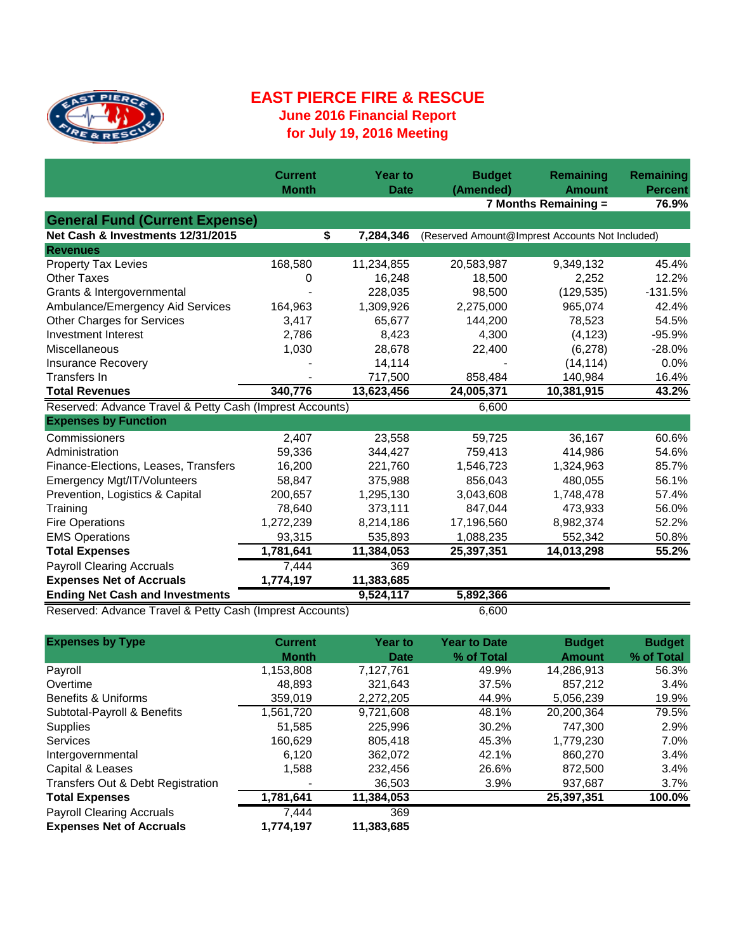

## **EAST PIERCE FIRE & RESCUE June 2016 Financial Report for July 19, 2016 Meeting**

|                                                          | <b>Current</b><br><b>Month</b> | <b>Year to</b><br><b>Date</b> | <b>Budget</b><br>(Amended) | <b>Remaining</b><br><b>Amount</b>               | Remaining<br><b>Percent</b> |
|----------------------------------------------------------|--------------------------------|-------------------------------|----------------------------|-------------------------------------------------|-----------------------------|
|                                                          |                                |                               |                            | 7 Months Remaining =                            | 76.9%                       |
| <b>General Fund (Current Expense)</b>                    |                                |                               |                            |                                                 |                             |
| Net Cash & Investments 12/31/2015                        | \$                             | 7,284,346                     |                            | (Reserved Amount@Imprest Accounts Not Included) |                             |
| <b>Revenues</b>                                          |                                |                               |                            |                                                 |                             |
| <b>Property Tax Levies</b>                               | 168,580                        | 11,234,855                    | 20,583,987                 | 9,349,132                                       | 45.4%                       |
| <b>Other Taxes</b>                                       | 0                              | 16,248                        | 18,500                     | 2,252                                           | 12.2%                       |
| Grants & Intergovernmental                               |                                | 228,035                       | 98,500                     | (129, 535)                                      | $-131.5%$                   |
| Ambulance/Emergency Aid Services                         | 164,963                        | 1,309,926                     | 2,275,000                  | 965,074                                         | 42.4%                       |
| <b>Other Charges for Services</b>                        | 3,417                          | 65,677                        | 144,200                    | 78,523                                          | 54.5%                       |
| Investment Interest                                      | 2,786                          | 8,423                         | 4,300                      | (4, 123)                                        | $-95.9%$                    |
| Miscellaneous                                            | 1,030                          | 28,678                        | 22,400                     | (6,278)                                         | $-28.0%$                    |
| <b>Insurance Recovery</b>                                |                                | 14,114                        |                            | (14, 114)                                       | 0.0%                        |
| Transfers In                                             |                                | 717,500                       | 858,484                    | 140,984                                         | 16.4%                       |
| <b>Total Revenues</b>                                    | 340,776                        | 13,623,456                    | 24,005,371                 | 10,381,915                                      | 43.2%                       |
| Reserved: Advance Travel & Petty Cash (Imprest Accounts) |                                |                               | 6,600                      |                                                 |                             |
| <b>Expenses by Function</b>                              |                                |                               |                            |                                                 |                             |
| Commissioners                                            | 2,407                          | 23,558                        | 59,725                     | 36,167                                          | 60.6%                       |
| Administration                                           | 59,336                         | 344,427                       | 759,413                    | 414,986                                         | 54.6%                       |
| Finance-Elections, Leases, Transfers                     | 16,200                         | 221,760                       | 1,546,723                  | 1,324,963                                       | 85.7%                       |
| Emergency Mgt/IT/Volunteers                              | 58,847                         | 375,988                       | 856,043                    | 480,055                                         | 56.1%                       |
| Prevention, Logistics & Capital                          | 200,657                        | 1,295,130                     | 3,043,608                  | 1,748,478                                       | 57.4%                       |
| Training                                                 | 78,640                         | 373,111                       | 847,044                    | 473,933                                         | 56.0%                       |
| <b>Fire Operations</b>                                   | 1,272,239                      | 8,214,186                     | 17,196,560                 | 8,982,374                                       | 52.2%                       |
| <b>EMS Operations</b>                                    | 93,315                         | 535,893                       | 1,088,235                  | 552,342                                         | 50.8%                       |
| <b>Total Expenses</b>                                    | 1,781,641                      | 11,384,053                    | 25,397,351                 | 14,013,298                                      | 55.2%                       |
| <b>Payroll Clearing Accruals</b>                         | 7,444                          | 369                           |                            |                                                 |                             |
| <b>Expenses Net of Accruals</b>                          | 1,774,197                      | 11,383,685                    |                            |                                                 |                             |
| <b>Ending Net Cash and Investments</b>                   |                                | 9,524,117                     | 5,892,366                  |                                                 |                             |
| Reserved: Advance Travel & Petty Cash (Imprest Accounts) |                                |                               | 6,600                      |                                                 |                             |

| <b>Expenses by Type</b>           | <b>Current</b> | <b>Year to</b> | <b>Year to Date</b> | <b>Budget</b> | <b>Budget</b> |
|-----------------------------------|----------------|----------------|---------------------|---------------|---------------|
|                                   | <b>Month</b>   | Date           | % of Total          | <b>Amount</b> | % of Total    |
| Payroll                           | 1,153,808      | 7,127,761      | 49.9%               | 14,286,913    | 56.3%         |
| Overtime                          | 48.893         | 321,643        | 37.5%               | 857.212       | 3.4%          |
| Benefits & Uniforms               | 359.019        | 2,272,205      | 44.9%               | 5,056,239     | 19.9%         |
| Subtotal-Payroll & Benefits       | 1,561,720      | 9,721,608      | 48.1%               | 20,200,364    | 79.5%         |
| <b>Supplies</b>                   | 51.585         | 225.996        | 30.2%               | 747.300       | 2.9%          |
| <b>Services</b>                   | 160.629        | 805.418        | 45.3%               | 1.779.230     | 7.0%          |
| Intergovernmental                 | 6,120          | 362,072        | 42.1%               | 860,270       | 3.4%          |
| Capital & Leases                  | 1.588          | 232.456        | 26.6%               | 872.500       | 3.4%          |
| Transfers Out & Debt Registration |                | 36.503         | 3.9%                | 937.687       | 3.7%          |
| <b>Total Expenses</b>             | 1,781,641      | 11,384,053     |                     | 25,397,351    | 100.0%        |
| <b>Payroll Clearing Accruals</b>  | 7.444          | 369            |                     |               |               |
| <b>Expenses Net of Accruals</b>   | 1,774,197      | 11,383,685     |                     |               |               |